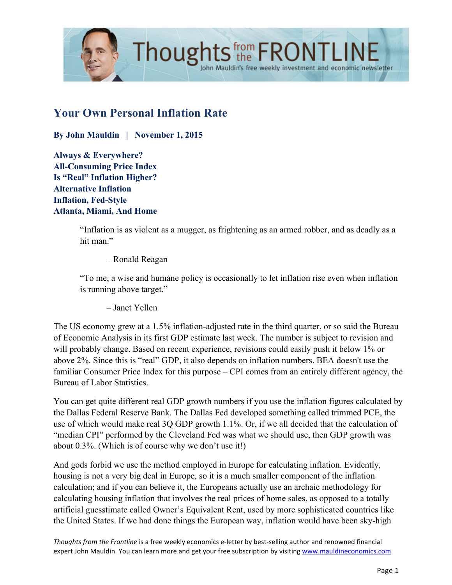

# **Your Own Personal Inflation Rate**

**By John Mauldin | November 1, 2015**

**Always & Everywhere? All-Consuming Price Index Is "Real" Inflation Higher? Alternative Inflation Inflation, Fed-Style Atlanta, Miami, And Home**

> "Inflation is as violent as a mugger, as frightening as an armed robber, and as deadly as a hit man."

John Mauldin's free weekly investment and economic newsletter

– Ronald Reagan

"To me, a wise and humane policy is occasionally to let inflation rise even when inflation is running above target."

– Janet Yellen

The US economy grew at a 1.5% inflation-adjusted rate in the third quarter, or so said the Bureau of Economic Analysis in its first GDP estimate last week. The number is subject to revision and will probably change. Based on recent experience, revisions could easily push it below 1% or above 2%. Since this is "real" GDP, it also depends on inflation numbers. BEA doesn't use the familiar Consumer Price Index for this purpose – CPI comes from an entirely different agency, the Bureau of Labor Statistics.

You can get quite different real GDP growth numbers if you use the inflation figures calculated by the Dallas Federal Reserve Bank. The Dallas Fed developed something called trimmed PCE, the use of which would make real 3Q GDP growth 1.1%. Or, if we all decided that the calculation of "median CPI" performed by the Cleveland Fed was what we should use, then GDP growth was about 0.3%. (Which is of course why we don't use it!)

And gods forbid we use the method employed in Europe for calculating inflation. Evidently, housing is not a very big deal in Europe, so it is a much smaller component of the inflation calculation; and if you can believe it, the Europeans actually use an archaic methodology for calculating housing inflation that involves the real prices of home sales, as opposed to a totally artificial guesstimate called Owner's Equivalent Rent, used by more sophisticated countries like the United States. If we had done things the European way, inflation would have been sky-high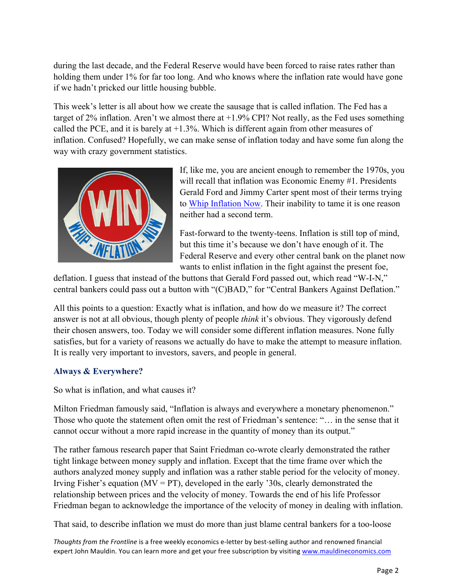during the last decade, and the Federal Reserve would have been forced to raise rates rather than holding them under 1% for far too long. And who knows where the inflation rate would have gone if we hadn't pricked our little housing bubble.

This week's letter is all about how we create the sausage that is called inflation. The Fed has a target of 2% inflation. Aren't we almost there at +1.9% CPI? Not really, as the Fed uses something called the PCE, and it is barely at  $+1.3\%$ . Which is different again from other measures of inflation. Confused? Hopefully, we can make sense of inflation today and have some fun along the way with crazy government statistics.



If, like me, you are ancient enough to remember the 1970s, you will recall that inflation was Economic Enemy #1. Presidents Gerald Ford and Jimmy Carter spent most of their terms trying to [Whip Inflation Now.](https://en.wikipedia.org/wiki/Whip_inflation_now) Their inability to tame it is one reason neither had a second term.

Fast-forward to the twenty-teens. Inflation is still top of mind, but this time it's because we don't have enough of it. The Federal Reserve and every other central bank on the planet now wants to enlist inflation in the fight against the present foe,

deflation. I guess that instead of the buttons that Gerald Ford passed out, which read "W-I-N," central bankers could pass out a button with "(C)BAD," for "Central Bankers Against Deflation."

All this points to a question: Exactly what is inflation, and how do we measure it? The correct answer is not at all obvious, though plenty of people *think* it's obvious. They vigorously defend their chosen answers, too. Today we will consider some different inflation measures. None fully satisfies, but for a variety of reasons we actually do have to make the attempt to measure inflation. It is really very important to investors, savers, and people in general.

# **Always & Everywhere?**

So what is inflation, and what causes it?

Milton Friedman famously said, "Inflation is always and everywhere a monetary phenomenon." Those who quote the statement often omit the rest of Friedman's sentence: "… in the sense that it cannot occur without a more rapid increase in the quantity of money than its output."

The rather famous research paper that Saint Friedman co-wrote clearly demonstrated the rather tight linkage between money supply and inflation. Except that the time frame over which the authors analyzed money supply and inflation was a rather stable period for the velocity of money. Irving Fisher's equation ( $MV = PT$ ), developed in the early '30s, clearly demonstrated the relationship between prices and the velocity of money. Towards the end of his life Professor Friedman began to acknowledge the importance of the velocity of money in dealing with inflation.

That said, to describe inflation we must do more than just blame central bankers for a too-loose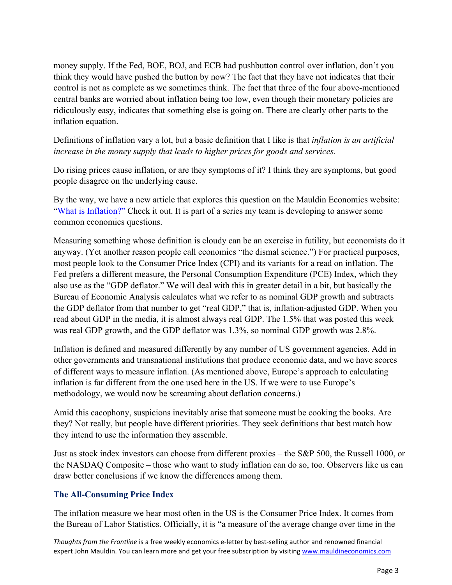money supply. If the Fed, BOE, BOJ, and ECB had pushbutton control over inflation, don't you think they would have pushed the button by now? The fact that they have not indicates that their control is not as complete as we sometimes think. The fact that three of the four above-mentioned central banks are worried about inflation being too low, even though their monetary policies are ridiculously easy, indicates that something else is going on. There are clearly other parts to the inflation equation.

Definitions of inflation vary a lot, but a basic definition that I like is that *inflation is an artificial increase in the money supply that leads to higher prices for goods and services.*

Do rising prices cause inflation, or are they symptoms of it? I think they are symptoms, but good people disagree on the underlying cause.

By the way, we have a new article that explores this question on the Mauldin Economics website: ["What is Inflation?"](http://www.mauldineconomics.com/resources/a-mauldin-economics-guide-to-inflation-deflation-and-everything-in-bet) Check it out. It is part of a series my team is developing to answer some common economics questions.

Measuring something whose definition is cloudy can be an exercise in futility, but economists do it anyway. (Yet another reason people call economics "the dismal science.") For practical purposes, most people look to the Consumer Price Index (CPI) and its variants for a read on inflation. The Fed prefers a different measure, the Personal Consumption Expenditure (PCE) Index, which they also use as the "GDP deflator." We will deal with this in greater detail in a bit, but basically the Bureau of Economic Analysis calculates what we refer to as nominal GDP growth and subtracts the GDP deflator from that number to get "real GDP," that is, inflation-adjusted GDP. When you read about GDP in the media, it is almost always real GDP. The 1.5% that was posted this week was real GDP growth, and the GDP deflator was 1.3%, so nominal GDP growth was 2.8%.

Inflation is defined and measured differently by any number of US government agencies. Add in other governments and transnational institutions that produce economic data, and we have scores of different ways to measure inflation. (As mentioned above, Europe's approach to calculating inflation is far different from the one used here in the US. If we were to use Europe's methodology, we would now be screaming about deflation concerns.)

Amid this cacophony, suspicions inevitably arise that someone must be cooking the books. Are they? Not really, but people have different priorities. They seek definitions that best match how they intend to use the information they assemble.

Just as stock index investors can choose from different proxies – the S&P 500, the Russell 1000, or the NASDAQ Composite – those who want to study inflation can do so, too. Observers like us can draw better conclusions if we know the differences among them.

# **The All-Consuming Price Index**

The inflation measure we hear most often in the US is the Consumer Price Index. It comes from the Bureau of Labor Statistics. Officially, it is "a measure of the average change over time in the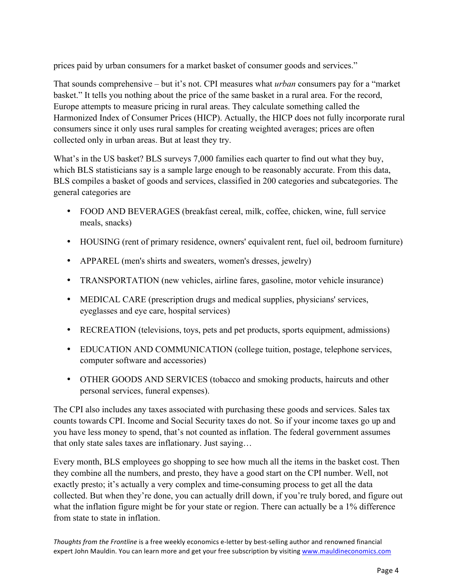prices paid by urban consumers for a market basket of consumer goods and services."

That sounds comprehensive – but it's not. CPI measures what *urban* consumers pay for a "market basket." It tells you nothing about the price of the same basket in a rural area. For the record, Europe attempts to measure pricing in rural areas. They calculate something called the Harmonized Index of Consumer Prices (HICP). Actually, the HICP does not fully incorporate rural consumers since it only uses rural samples for creating weighted averages; prices are often collected only in urban areas. But at least they try.

What's in the US basket? BLS surveys 7,000 families each quarter to find out what they buy, which BLS statisticians say is a sample large enough to be reasonably accurate. From this data, BLS compiles a basket of goods and services, classified in 200 categories and subcategories. The general categories are

- FOOD AND BEVERAGES (breakfast cereal, milk, coffee, chicken, wine, full service meals, snacks)
- HOUSING (rent of primary residence, owners' equivalent rent, fuel oil, bedroom furniture)
- APPAREL (men's shirts and sweaters, women's dresses, jewelry)
- TRANSPORTATION (new vehicles, airline fares, gasoline, motor vehicle insurance)
- MEDICAL CARE (prescription drugs and medical supplies, physicians' services, eyeglasses and eye care, hospital services)
- RECREATION (televisions, toys, pets and pet products, sports equipment, admissions)
- EDUCATION AND COMMUNICATION (college tuition, postage, telephone services, computer software and accessories)
- OTHER GOODS AND SERVICES (tobacco and smoking products, haircuts and other personal services, funeral expenses).

The CPI also includes any taxes associated with purchasing these goods and services. Sales tax counts towards CPI. Income and Social Security taxes do not. So if your income taxes go up and you have less money to spend, that's not counted as inflation. The federal government assumes that only state sales taxes are inflationary. Just saying…

Every month, BLS employees go shopping to see how much all the items in the basket cost. Then they combine all the numbers, and presto, they have a good start on the CPI number. Well, not exactly presto; it's actually a very complex and time-consuming process to get all the data collected. But when they're done, you can actually drill down, if you're truly bored, and figure out what the inflation figure might be for your state or region. There can actually be a 1% difference from state to state in inflation.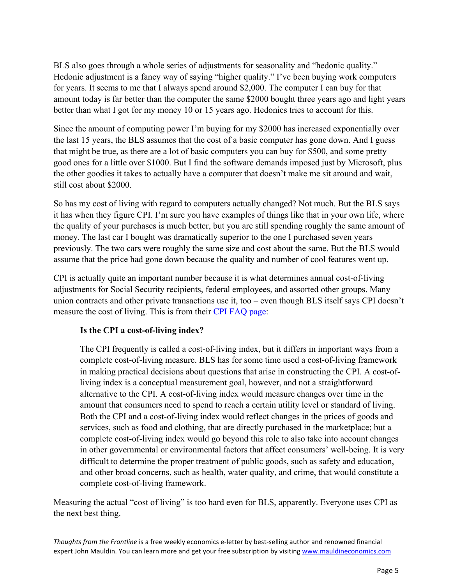BLS also goes through a whole series of adjustments for seasonality and "hedonic quality." Hedonic adjustment is a fancy way of saying "higher quality." I've been buying work computers for years. It seems to me that I always spend around \$2,000. The computer I can buy for that amount today is far better than the computer the same \$2000 bought three years ago and light years better than what I got for my money 10 or 15 years ago. Hedonics tries to account for this.

Since the amount of computing power I'm buying for my \$2000 has increased exponentially over the last 15 years, the BLS assumes that the cost of a basic computer has gone down. And I guess that might be true, as there are a lot of basic computers you can buy for \$500, and some pretty good ones for a little over \$1000. But I find the software demands imposed just by Microsoft, plus the other goodies it takes to actually have a computer that doesn't make me sit around and wait, still cost about \$2000.

So has my cost of living with regard to computers actually changed? Not much. But the BLS says it has when they figure CPI. I'm sure you have examples of things like that in your own life, where the quality of your purchases is much better, but you are still spending roughly the same amount of money. The last car I bought was dramatically superior to the one I purchased seven years previously. The two cars were roughly the same size and cost about the same. But the BLS would assume that the price had gone down because the quality and number of cool features went up.

CPI is actually quite an important number because it is what determines annual cost-of-living adjustments for Social Security recipients, federal employees, and assorted other groups. Many union contracts and other private transactions use it, too – even though BLS itself says CPI doesn't measure the cost of living. This is from their [CPI FAQ page:](http://www.bls.gov/cpi/cpifaq.htm)

# **Is the CPI a cost-of-living index?**

The CPI frequently is called a cost-of-living index, but it differs in important ways from a complete cost-of-living measure. BLS has for some time used a cost-of-living framework in making practical decisions about questions that arise in constructing the CPI. A cost-ofliving index is a conceptual measurement goal, however, and not a straightforward alternative to the CPI. A cost-of-living index would measure changes over time in the amount that consumers need to spend to reach a certain utility level or standard of living. Both the CPI and a cost-of-living index would reflect changes in the prices of goods and services, such as food and clothing, that are directly purchased in the marketplace; but a complete cost-of-living index would go beyond this role to also take into account changes in other governmental or environmental factors that affect consumers' well-being. It is very difficult to determine the proper treatment of public goods, such as safety and education, and other broad concerns, such as health, water quality, and crime, that would constitute a complete cost-of-living framework.

Measuring the actual "cost of living" is too hard even for BLS, apparently. Everyone uses CPI as the next best thing.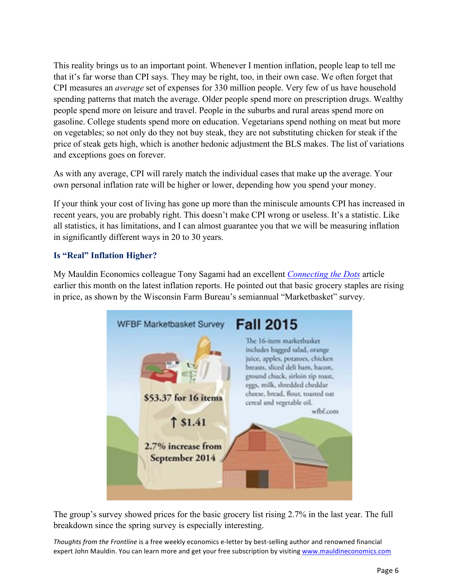This reality brings us to an important point. Whenever I mention inflation, people leap to tell me that it's far worse than CPI says. They may be right, too, in their own case. We often forget that CPI measures an *average* set of expenses for 330 million people. Very few of us have household spending patterns that match the average. Older people spend more on prescription drugs. Wealthy people spend more on leisure and travel. People in the suburbs and rural areas spend more on gasoline. College students spend more on education. Vegetarians spend nothing on meat but more on vegetables; so not only do they not buy steak, they are not substituting chicken for steak if the price of steak gets high, which is another hedonic adjustment the BLS makes. The list of variations and exceptions goes on forever.

As with any average, CPI will rarely match the individual cases that make up the average. Your own personal inflation rate will be higher or lower, depending how you spend your money.

If your think your cost of living has gone up more than the miniscule amounts CPI has increased in recent years, you are probably right. This doesn't make CPI wrong or useless. It's a statistic. Like all statistics, it has limitations, and I can almost guarantee you that we will be measuring inflation in significantly different ways in 20 to 30 years.

### **Is "Real" Inflation Higher?**

My Mauldin Economics colleague Tony Sagami had an excellent *[Connecting the Dots](http://www.mauldineconomics.com/connecting-the-dots/the-governments-fun-with-inflation-numbers)* article earlier this month on the latest inflation reports. He pointed out that basic grocery staples are rising in price, as shown by the Wisconsin Farm Bureau's semiannual "Marketbasket" survey.



The group's survey showed prices for the basic grocery list rising 2.7% in the last year. The full breakdown since the spring survey is especially interesting.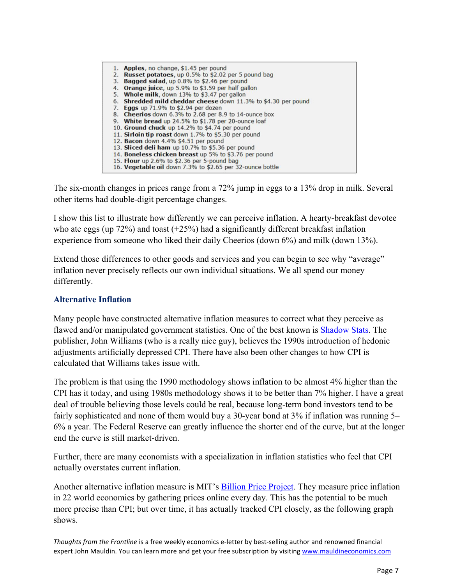| 1. Apples, no change, \$1.45 per pound                         |
|----------------------------------------------------------------|
| 2. Russet potatoes, up 0.5% to \$2.02 per 5 pound bag          |
| 3. Bagged salad, up 0.8% to \$2.46 per pound                   |
| 4. Orange juice, up 5.9% to \$3.59 per half gallon             |
| 5. Whole milk, down 13% to \$3.47 per gallon                   |
| 6. Shredded mild cheddar cheese down 11.3% to \$4.30 per pound |
| 7. Eggs up 71.9% to \$2.94 per dozen                           |
| 8. Cheerios down 6.3% to 2.68 per 8.9 to 14-ounce box          |
| 9. White bread up 24.5% to \$1.78 per 20-ounce loaf            |
| 10. Ground chuck up 14.2% to \$4.74 per pound                  |
| 11. Sirloin tip roast down 1.7% to \$5.30 per pound            |
| 12. Bacon down 4.4% \$4.51 per pound                           |
| 13. Sliced deli ham up 10.7% to \$5.36 per pound               |
| 14. Boneless chicken breast up 5% to \$3.76 per pound          |
| 15. Flour up 2.6% to \$2.36 per 5-pound bag                    |
| 16. Vegetable oil down 7.3% to \$2.65 per 32-ounce bottle      |

The six-month changes in prices range from a 72% jump in eggs to a 13% drop in milk. Several other items had double-digit percentage changes.

I show this list to illustrate how differently we can perceive inflation. A hearty-breakfast devotee who ate eggs (up  $72\%$ ) and toast  $(+25\%)$  had a significantly different breakfast inflation experience from someone who liked their daily Cheerios (down 6%) and milk (down 13%).

Extend those differences to other goods and services and you can begin to see why "average" inflation never precisely reflects our own individual situations. We all spend our money differently.

#### **Alternative Inflation**

Many people have constructed alternative inflation measures to correct what they perceive as flawed and/or manipulated government statistics. One of the best known is [Shadow Stats.](http://www.shadowstats.com/) The publisher, John Williams (who is a really nice guy), believes the 1990s introduction of hedonic adjustments artificially depressed CPI. There have also been other changes to how CPI is calculated that Williams takes issue with.

The problem is that using the 1990 methodology shows inflation to be almost 4% higher than the CPI has it today, and using 1980s methodology shows it to be better than 7% higher. I have a great deal of trouble believing those levels could be real, because long-term bond investors tend to be fairly sophisticated and none of them would buy a 30-year bond at 3% if inflation was running 5– 6% a year. The Federal Reserve can greatly influence the shorter end of the curve, but at the longer end the curve is still market-driven.

Further, there are many economists with a specialization in inflation statistics who feel that CPI actually overstates current inflation.

Another alternative inflation measure is MIT's **Billion Price Project**. They measure price inflation in 22 world economies by gathering prices online every day. This has the potential to be much more precise than CPI; but over time, it has actually tracked CPI closely, as the following graph shows.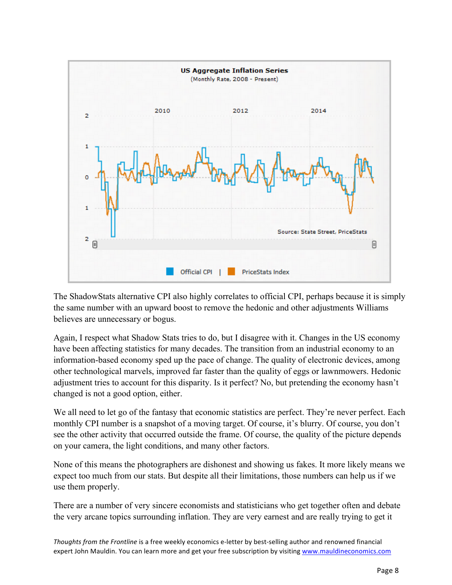

The ShadowStats alternative CPI also highly correlates to official CPI, perhaps because it is simply the same number with an upward boost to remove the hedonic and other adjustments Williams believes are unnecessary or bogus.

Again, I respect what Shadow Stats tries to do, but I disagree with it. Changes in the US economy have been affecting statistics for many decades. The transition from an industrial economy to an information-based economy sped up the pace of change. The quality of electronic devices, among other technological marvels, improved far faster than the quality of eggs or lawnmowers. Hedonic adjustment tries to account for this disparity. Is it perfect? No, but pretending the economy hasn't changed is not a good option, either.

We all need to let go of the fantasy that economic statistics are perfect. They're never perfect. Each monthly CPI number is a snapshot of a moving target. Of course, it's blurry. Of course, you don't see the other activity that occurred outside the frame. Of course, the quality of the picture depends on your camera, the light conditions, and many other factors.

None of this means the photographers are dishonest and showing us fakes. It more likely means we expect too much from our stats. But despite all their limitations, those numbers can help us if we use them properly.

There are a number of very sincere economists and statisticians who get together often and debate the very arcane topics surrounding inflation. They are very earnest and are really trying to get it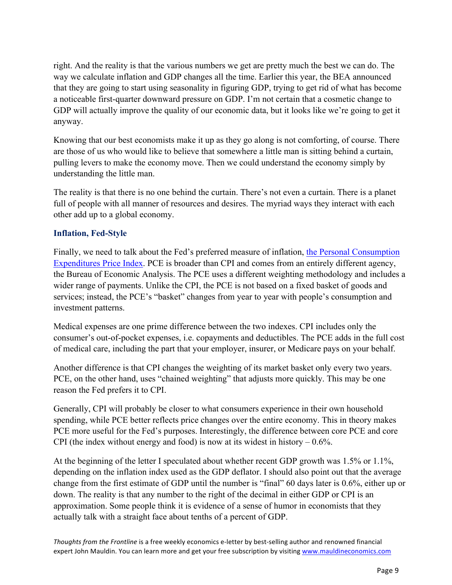right. And the reality is that the various numbers we get are pretty much the best we can do. The way we calculate inflation and GDP changes all the time. Earlier this year, the BEA announced that they are going to start using seasonality in figuring GDP, trying to get rid of what has become a noticeable first-quarter downward pressure on GDP. I'm not certain that a cosmetic change to GDP will actually improve the quality of our economic data, but it looks like we're going to get it anyway.

Knowing that our best economists make it up as they go along is not comforting, of course. There are those of us who would like to believe that somewhere a little man is sitting behind a curtain, pulling levers to make the economy move. Then we could understand the economy simply by understanding the little man.

The reality is that there is no one behind the curtain. There's not even a curtain. There is a planet full of people with all manner of resources and desires. The myriad ways they interact with each other add up to a global economy.

### **Inflation, Fed-Style**

Finally, we need to talk about the Fed's preferred measure of inflation, the Personal Consumption [Expenditures Price Index. PCE is broader than CPI and comes from an entirely different agency,](http://www.frbsf.org/economic-research/indicators-data/pce-personal-consumption-expenditure-price-index-pcepi/)  the Bureau of Economic Analysis. The PCE uses a different weighting methodology and includes a wider range of payments. Unlike the CPI, the PCE is not based on a fixed basket of goods and services; instead, the PCE's "basket" changes from year to year with people's consumption and investment patterns.

Medical expenses are one prime difference between the two indexes. CPI includes only the consumer's out-of-pocket expenses, i.e. copayments and deductibles. The PCE adds in the full cost of medical care, including the part that your employer, insurer, or Medicare pays on your behalf.

Another difference is that CPI changes the weighting of its market basket only every two years. PCE, on the other hand, uses "chained weighting" that adjusts more quickly. This may be one reason the Fed prefers it to CPI.

Generally, CPI will probably be closer to what consumers experience in their own household spending, while PCE better reflects price changes over the entire economy. This in theory makes PCE more useful for the Fed's purposes. Interestingly, the difference between core PCE and core CPI (the index without energy and food) is now at its widest in history  $-0.6\%$ .

At the beginning of the letter I speculated about whether recent GDP growth was 1.5% or 1.1%, depending on the inflation index used as the GDP deflator. I should also point out that the average change from the first estimate of GDP until the number is "final" 60 days later is 0.6%, either up or down. The reality is that any number to the right of the decimal in either GDP or CPI is an approximation. Some people think it is evidence of a sense of humor in economists that they actually talk with a straight face about tenths of a percent of GDP.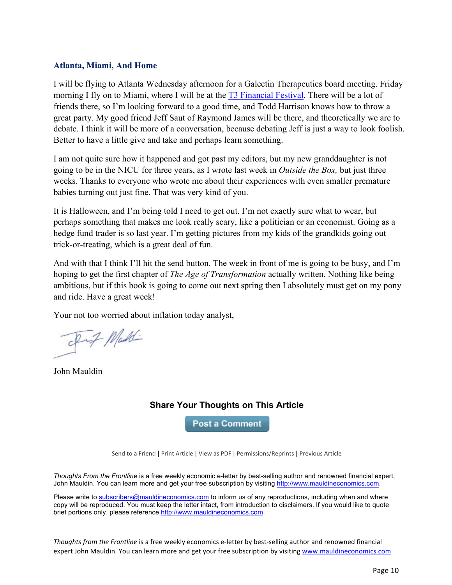#### **Atlanta, Miami, And Home**

I will be flying to Atlanta Wednesday afternoon for a Galectin Therapeutics board meeting. Friday morning I fly on to Miami, where I will be at the [T3 Financial Festival.](http://www.t3live.com/festival) There will be a lot of friends there, so I'm looking forward to a good time, and Todd Harrison knows how to throw a great party. My good friend Jeff Saut of Raymond James will be there, and theoretically we are to debate. I think it will be more of a conversation, because debating Jeff is just a way to look foolish. Better to have a little give and take and perhaps learn something.

I am not quite sure how it happened and got past my editors, but my new granddaughter is not going to be in the NICU for three years, as I wrote last week in *Outside the Box,* but just three weeks. Thanks to everyone who wrote me about their experiences with even smaller premature babies turning out just fine. That was very kind of you.

It is Halloween, and I'm being told I need to get out. I'm not exactly sure what to wear, but perhaps something that makes me look really scary, like a politician or an economist. Going as a hedge fund trader is so last year. I'm getting pictures from my kids of the grandkids going out trick-or-treating, which is a great deal of fun.

And with that I think I'll hit the send button. The week in front of me is going to be busy, and I'm hoping to get the first chapter of *The Age of Transformation* actually written. Nothing like being ambitious, but if this book is going to come out next spring then I absolutely must get on my pony and ride. Have a great week!

Your not too worried about inflation today analyst,

Inf Maddi

John Mauldin

# **Share Your Thoughts on This Article**

**Post a Comment** 

Send to a Friend | Print Article | View as PDF | Permissions/Reprints | Previous Article

*Thoughts From the Frontline* is a free weekly economic e-letter by best-selling author and renowned financial expert, John Mauldin. You can learn more and get your free subscription by visiting http://www.mauldineconomics.com.

Please write to subscribers@mauldineconomics.com to inform us of any reproductions, including when and where copy will be reproduced. You must keep the letter intact, from introduction to disclaimers. If you would like to quote brief portions only, please reference http://www.mauldineconomics.com.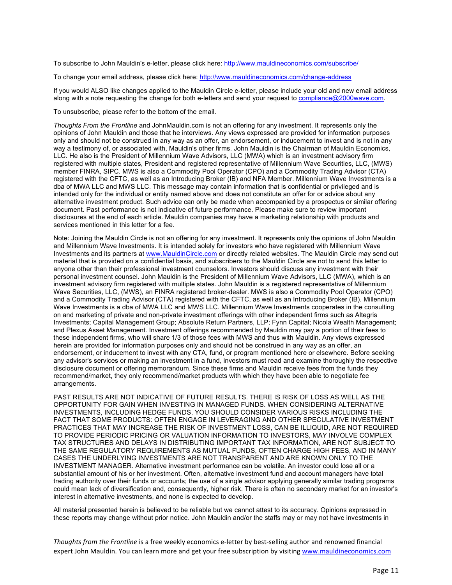To subscribe to John Mauldin's e-letter, please click here: http://www.mauldineconomics.com/subscribe/

To change your email address, please click here: http://www.mauldineconomics.com/change-address

If you would ALSO like changes applied to the Mauldin Circle e-letter, please include your old and new email address along with a note requesting the change for both e-letters and send your request to compliance@2000wave.com.

To unsubscribe, please refer to the bottom of the email.

*Thoughts From the Frontline* and JohnMauldin.com is not an offering for any investment. It represents only the opinions of John Mauldin and those that he interviews. Any views expressed are provided for information purposes only and should not be construed in any way as an offer, an endorsement, or inducement to invest and is not in any way a testimony of, or associated with, Mauldin's other firms. John Mauldin is the Chairman of Mauldin Economics, LLC. He also is the President of Millennium Wave Advisors, LLC (MWA) which is an investment advisory firm registered with multiple states, President and registered representative of Millennium Wave Securities, LLC, (MWS) member FINRA, SIPC. MWS is also a Commodity Pool Operator (CPO) and a Commodity Trading Advisor (CTA) registered with the CFTC, as well as an Introducing Broker (IB) and NFA Member. Millennium Wave Investments is a dba of MWA LLC and MWS LLC. This message may contain information that is confidential or privileged and is intended only for the individual or entity named above and does not constitute an offer for or advice about any alternative investment product. Such advice can only be made when accompanied by a prospectus or similar offering document. Past performance is not indicative of future performance. Please make sure to review important disclosures at the end of each article. Mauldin companies may have a marketing relationship with products and services mentioned in this letter for a fee.

Note: Joining the Mauldin Circle is not an offering for any investment. It represents only the opinions of John Mauldin and Millennium Wave Investments. It is intended solely for investors who have registered with Millennium Wave Investments and its partners at www.MauldinCircle.com or directly related websites. The Mauldin Circle may send out material that is provided on a confidential basis, and subscribers to the Mauldin Circle are not to send this letter to anyone other than their professional investment counselors. Investors should discuss any investment with their personal investment counsel. John Mauldin is the President of Millennium Wave Advisors, LLC (MWA), which is an investment advisory firm registered with multiple states. John Mauldin is a registered representative of Millennium Wave Securities, LLC, (MWS), an FINRA registered broker-dealer. MWS is also a Commodity Pool Operator (CPO) and a Commodity Trading Advisor (CTA) registered with the CFTC, as well as an Introducing Broker (IB). Millennium Wave Investments is a dba of MWA LLC and MWS LLC. Millennium Wave Investments cooperates in the consulting on and marketing of private and non-private investment offerings with other independent firms such as Altegris Investments; Capital Management Group; Absolute Return Partners, LLP; Fynn Capital; Nicola Wealth Management; and Plexus Asset Management. Investment offerings recommended by Mauldin may pay a portion of their fees to these independent firms, who will share 1/3 of those fees with MWS and thus with Mauldin. Any views expressed herein are provided for information purposes only and should not be construed in any way as an offer, an endorsement, or inducement to invest with any CTA, fund, or program mentioned here or elsewhere. Before seeking any advisor's services or making an investment in a fund, investors must read and examine thoroughly the respective disclosure document or offering memorandum. Since these firms and Mauldin receive fees from the funds they recommend/market, they only recommend/market products with which they have been able to negotiate fee arrangements.

PAST RESULTS ARE NOT INDICATIVE OF FUTURE RESULTS. THERE IS RISK OF LOSS AS WELL AS THE OPPORTUNITY FOR GAIN WHEN INVESTING IN MANAGED FUNDS. WHEN CONSIDERING ALTERNATIVE INVESTMENTS, INCLUDING HEDGE FUNDS, YOU SHOULD CONSIDER VARIOUS RISKS INCLUDING THE FACT THAT SOME PRODUCTS: OFTEN ENGAGE IN LEVERAGING AND OTHER SPECULATIVE INVESTMENT PRACTICES THAT MAY INCREASE THE RISK OF INVESTMENT LOSS, CAN BE ILLIQUID, ARE NOT REQUIRED TO PROVIDE PERIODIC PRICING OR VALUATION INFORMATION TO INVESTORS, MAY INVOLVE COMPLEX TAX STRUCTURES AND DELAYS IN DISTRIBUTING IMPORTANT TAX INFORMATION, ARE NOT SUBJECT TO THE SAME REGULATORY REQUIREMENTS AS MUTUAL FUNDS, OFTEN CHARGE HIGH FEES, AND IN MANY CASES THE UNDERLYING INVESTMENTS ARE NOT TRANSPARENT AND ARE KNOWN ONLY TO THE INVESTMENT MANAGER. Alternative investment performance can be volatile. An investor could lose all or a substantial amount of his or her investment. Often, alternative investment fund and account managers have total trading authority over their funds or accounts; the use of a single advisor applying generally similar trading programs could mean lack of diversification and, consequently, higher risk. There is often no secondary market for an investor's interest in alternative investments, and none is expected to develop.

All material presented herein is believed to be reliable but we cannot attest to its accuracy. Opinions expressed in these reports may change without prior notice. John Mauldin and/or the staffs may or may not have investments in